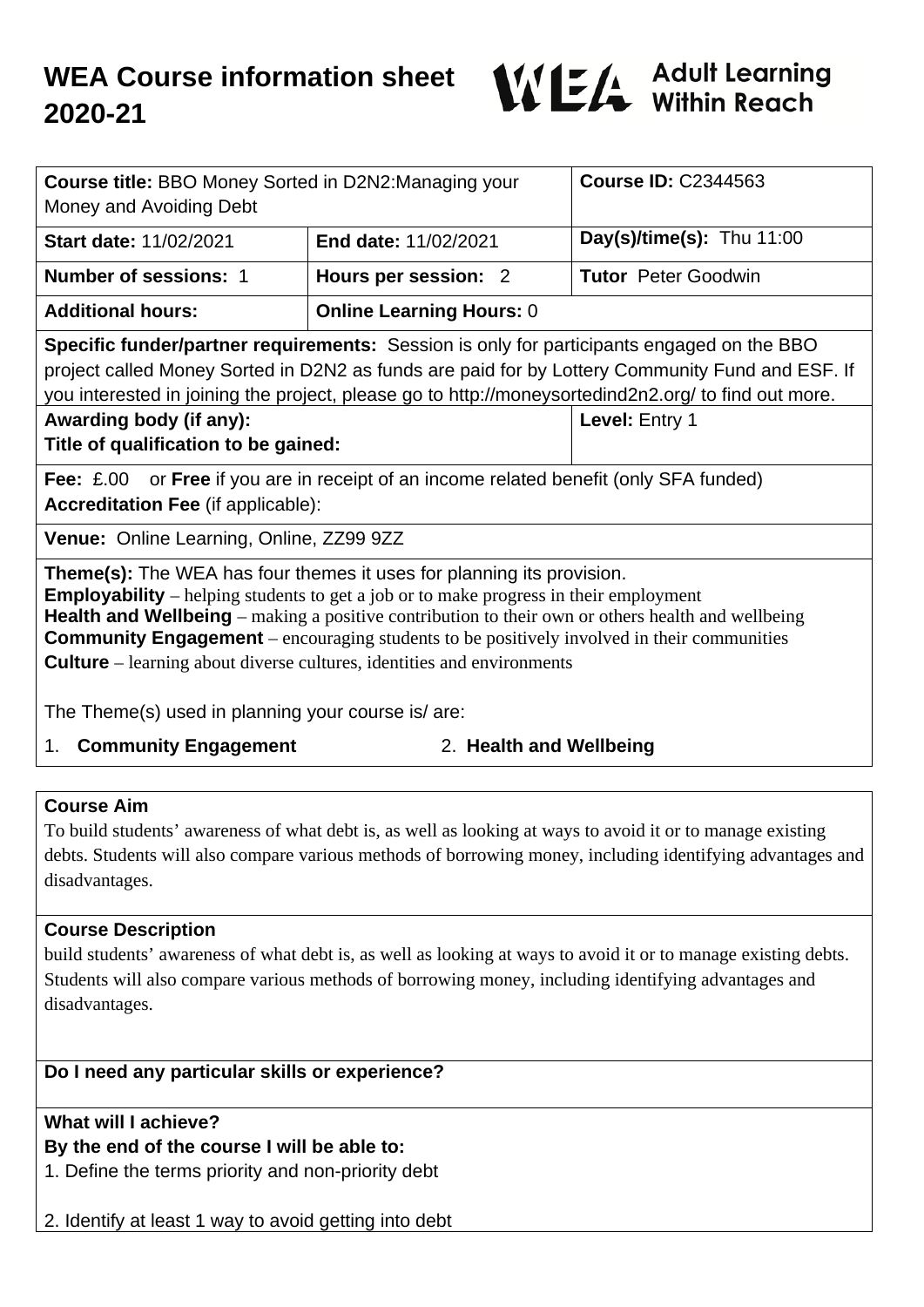

| <b>Course title: BBO Money Sorted in D2N2:Managing your</b><br>Money and Avoiding Debt                                                                                                                                                                                                                                                                                                                                                                                         |                                 | <b>Course ID: C2344563</b>  |
|--------------------------------------------------------------------------------------------------------------------------------------------------------------------------------------------------------------------------------------------------------------------------------------------------------------------------------------------------------------------------------------------------------------------------------------------------------------------------------|---------------------------------|-----------------------------|
| <b>Start date: 11/02/2021</b>                                                                                                                                                                                                                                                                                                                                                                                                                                                  | <b>End date: 11/02/2021</b>     | Day(s)/time(s): Thu $11:00$ |
| <b>Number of sessions: 1</b>                                                                                                                                                                                                                                                                                                                                                                                                                                                   | Hours per session: 2            | <b>Tutor</b> Peter Goodwin  |
| <b>Additional hours:</b>                                                                                                                                                                                                                                                                                                                                                                                                                                                       | <b>Online Learning Hours: 0</b> |                             |
| <b>Specific funder/partner requirements:</b> Session is only for participants engaged on the BBO<br>project called Money Sorted in D2N2 as funds are paid for by Lottery Community Fund and ESF. If<br>you interested in joining the project, please go to http://moneysortedind2n2.org/ to find out more.<br>Awarding body (if any):<br>Level: Entry 1<br>Title of qualification to be gained:                                                                                |                                 |                             |
| <b>Fee:</b> £.00 or <b>Free</b> if you are in receipt of an income related benefit (only SFA funded)<br><b>Accreditation Fee (if applicable):</b>                                                                                                                                                                                                                                                                                                                              |                                 |                             |
| Venue: Online Learning, Online, ZZ99 9ZZ                                                                                                                                                                                                                                                                                                                                                                                                                                       |                                 |                             |
| <b>Theme(s):</b> The WEA has four themes it uses for planning its provision.<br><b>Employability</b> – helping students to get a job or to make progress in their employment<br><b>Health and Wellbeing</b> – making a positive contribution to their own or others health and wellbeing<br><b>Community Engagement</b> – encouraging students to be positively involved in their communities<br><b>Culture</b> – learning about diverse cultures, identities and environments |                                 |                             |
| The Theme(s) used in planning your course is/are:                                                                                                                                                                                                                                                                                                                                                                                                                              |                                 |                             |
| 2. Health and Wellbeing<br>1. Community Engagement                                                                                                                                                                                                                                                                                                                                                                                                                             |                                 |                             |

#### **Course Aim**

To build students' awareness of what debt is, as well as looking at ways to avoid it or to manage existing debts. Students will also compare various methods of borrowing money, including identifying advantages and disadvantages.

#### **Course Description**

build students' awareness of what debt is, as well as looking at ways to avoid it or to manage existing debts. Students will also compare various methods of borrowing money, including identifying advantages and disadvantages.

# **Do I need any particular skills or experience?**

#### **What will I achieve?**

# **By the end of the course I will be able to:**

1. Define the terms priority and non-priority debt

2. Identify at least 1 way to avoid getting into debt